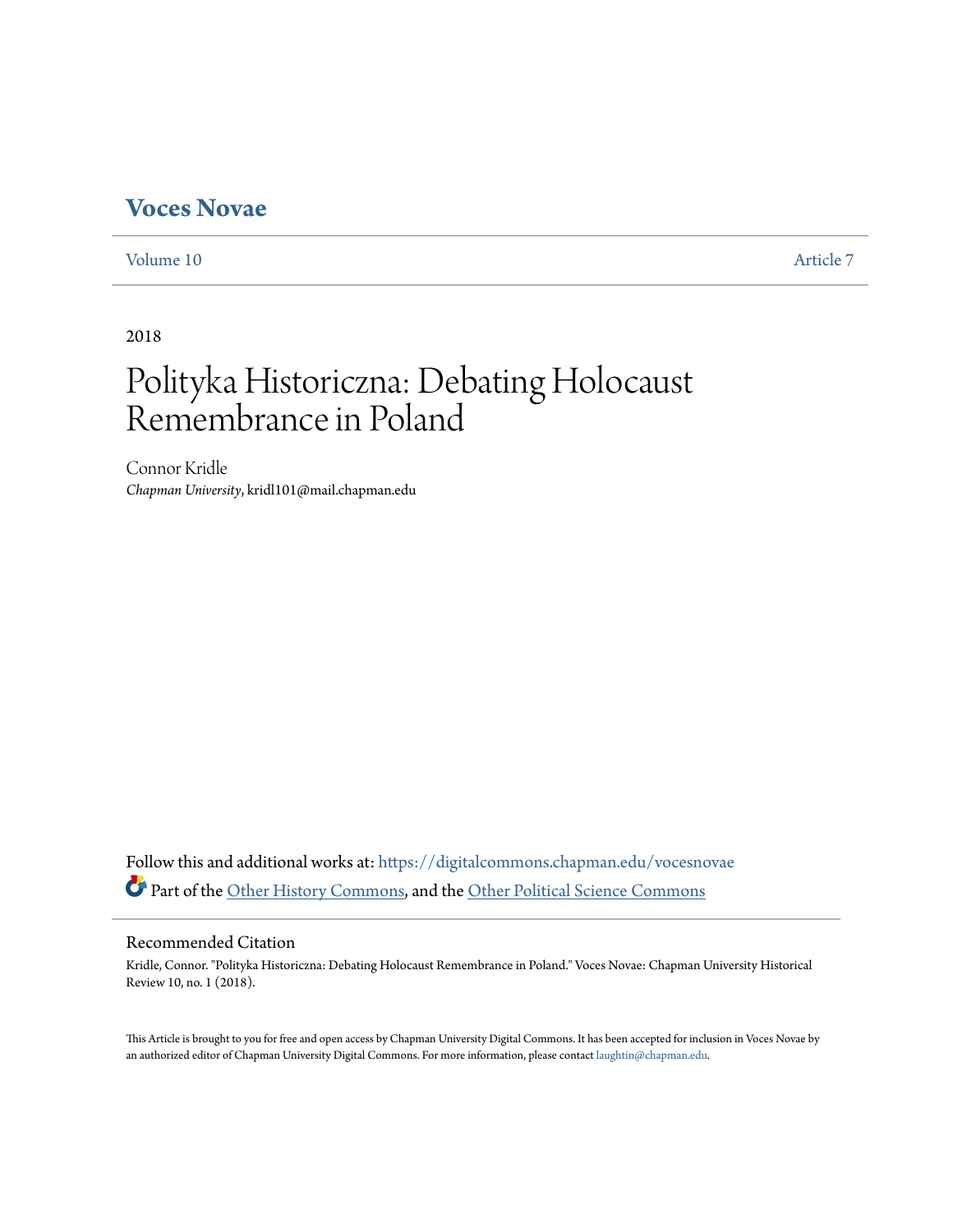# **[Voces Novae](https://digitalcommons.chapman.edu/vocesnovae?utm_source=digitalcommons.chapman.edu%2Fvocesnovae%2Fvol10%2Fiss1%2F7&utm_medium=PDF&utm_campaign=PDFCoverPages)**

[Volume 10](https://digitalcommons.chapman.edu/vocesnovae/vol10?utm_source=digitalcommons.chapman.edu%2Fvocesnovae%2Fvol10%2Fiss1%2F7&utm_medium=PDF&utm_campaign=PDFCoverPages) [Article 7](https://digitalcommons.chapman.edu/vocesnovae/vol10/iss1/7?utm_source=digitalcommons.chapman.edu%2Fvocesnovae%2Fvol10%2Fiss1%2F7&utm_medium=PDF&utm_campaign=PDFCoverPages)

2018

# Polityka Historiczna: Debating Holocaust Remembrance in Poland

Connor Kridle *Chapman University*, kridl101@mail.chapman.edu

Follow this and additional works at: [https://digitalcommons.chapman.edu/vocesnovae](https://digitalcommons.chapman.edu/vocesnovae?utm_source=digitalcommons.chapman.edu%2Fvocesnovae%2Fvol10%2Fiss1%2F7&utm_medium=PDF&utm_campaign=PDFCoverPages) Part of the [Other History Commons,](http://network.bepress.com/hgg/discipline/508?utm_source=digitalcommons.chapman.edu%2Fvocesnovae%2Fvol10%2Fiss1%2F7&utm_medium=PDF&utm_campaign=PDFCoverPages) and the [Other Political Science Commons](http://network.bepress.com/hgg/discipline/392?utm_source=digitalcommons.chapman.edu%2Fvocesnovae%2Fvol10%2Fiss1%2F7&utm_medium=PDF&utm_campaign=PDFCoverPages)

### Recommended Citation

Kridle, Connor. "Polityka Historiczna: Debating Holocaust Remembrance in Poland." Voces Novae: Chapman University Historical Review 10, no. 1 (2018).

This Article is brought to you for free and open access by Chapman University Digital Commons. It has been accepted for inclusion in Voces Novae by an authorized editor of Chapman University Digital Commons. For more information, please contact [laughtin@chapman.edu.](mailto:laughtin@chapman.edu)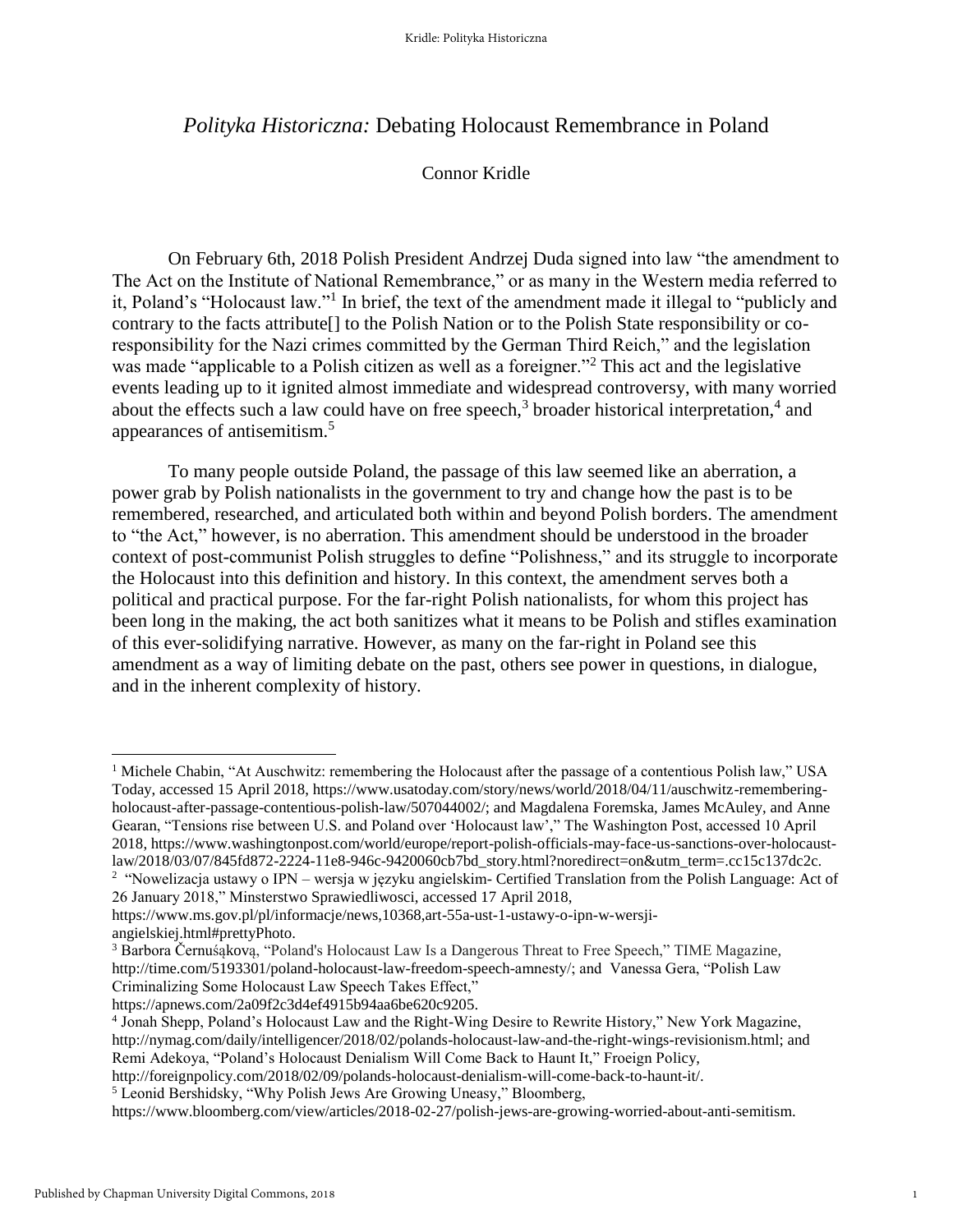# *Polityka Historiczna:* Debating Holocaust Remembrance in Poland

## Connor Kridle

On February 6th, 2018 Polish President Andrzej Duda signed into law "the amendment to The Act on the Institute of National Remembrance," or as many in the Western media referred to it, Poland's "Holocaust law."<sup>1</sup> In brief, the text of the amendment made it illegal to "publicly and contrary to the facts attribute[] to the Polish Nation or to the Polish State responsibility or coresponsibility for the Nazi crimes committed by the German Third Reich," and the legislation was made "applicable to a Polish citizen as well as a foreigner."<sup>2</sup> This act and the legislative events leading up to it ignited almost immediate and widespread controversy, with many worried about the effects such a law could have on free speech,<sup>3</sup> broader historical interpretation,<sup>4</sup> and appearances of antisemitism.<sup>5</sup>

To many people outside Poland, the passage of this law seemed like an aberration, a power grab by Polish nationalists in the government to try and change how the past is to be remembered, researched, and articulated both within and beyond Polish borders. The amendment to "the Act," however, is no aberration. This amendment should be understood in the broader context of post-communist Polish struggles to define "Polishness," and its struggle to incorporate the Holocaust into this definition and history. In this context, the amendment serves both a political and practical purpose. For the far-right Polish nationalists, for whom this project has been long in the making, the act both sanitizes what it means to be Polish and stifles examination of this ever-solidifying narrative. However, as many on the far-right in Poland see this amendment as a way of limiting debate on the past, others see power in questions, in dialogue, and in the inherent complexity of history.

<sup>&</sup>lt;sup>1</sup> Michele Chabin, "At Auschwitz: remembering the Holocaust after the passage of a contentious Polish law," USA Today, accessed 15 April 2018, https://www.usatoday.com/story/news/world/2018/04/11/auschwitz-rememberingholocaust-after-passage-contentious-polish-law/507044002/; and Magdalena Foremska, James McAuley, and Anne Gearan, "Tensions rise between U.S. and Poland over 'Holocaust law'," The Washington Post, accessed 10 April 2018, https://www.washingtonpost.com/world/europe/report-polish-officials-may-face-us-sanctions-over-holocaustlaw/2018/03/07/845fd872-2224-11e8-946c-9420060cb7bd\_story.html?noredirect=on&utm\_term=.cc15c137dc2c. <sup>2</sup> "Nowelizacja ustawy o IPN – wersja w języku angielskim- Certified Translation from the Polish Language: Act of

<sup>26</sup> January 2018," Minsterstwo Sprawiedliwosci, accessed 17 April 2018,

https://www.ms.gov.pl/pl/informacje/news,10368,art-55a-ust-1-ustawy-o-ipn-w-wersji-

angielskiej.html#prettyPhoto.

<sup>3</sup> Barbora Černuśąkovą, "Poland's Holocaust Law Is a Dangerous Threat to Free Speech," TIME Magazine, http://time.com/5193301/poland-holocaust-law-freedom-speech-amnesty/; and Vanessa Gera, "Polish Law Criminalizing Some Holocaust Law Speech Takes Effect,"

https://apnews.com/2a09f2c3d4ef4915b94aa6be620c9205.

<sup>4</sup> Jonah Shepp, Poland's Holocaust Law and the Right-Wing Desire to Rewrite History," New York Magazine, http://nymag.com/daily/intelligencer/2018/02/polands-holocaust-law-and-the-right-wings-revisionism.html; and Remi Adekoya, "Poland's Holocaust Denialism Will Come Back to Haunt It," Froeign Policy,

http://foreignpolicy.com/2018/02/09/polands-holocaust-denialism-will-come-back-to-haunt-it/.

<sup>5</sup> Leonid Bershidsky, "Why Polish Jews Are Growing Uneasy," Bloomberg,

https://www.bloomberg.com/view/articles/2018-02-27/polish-jews-are-growing-worried-about-anti-semitism.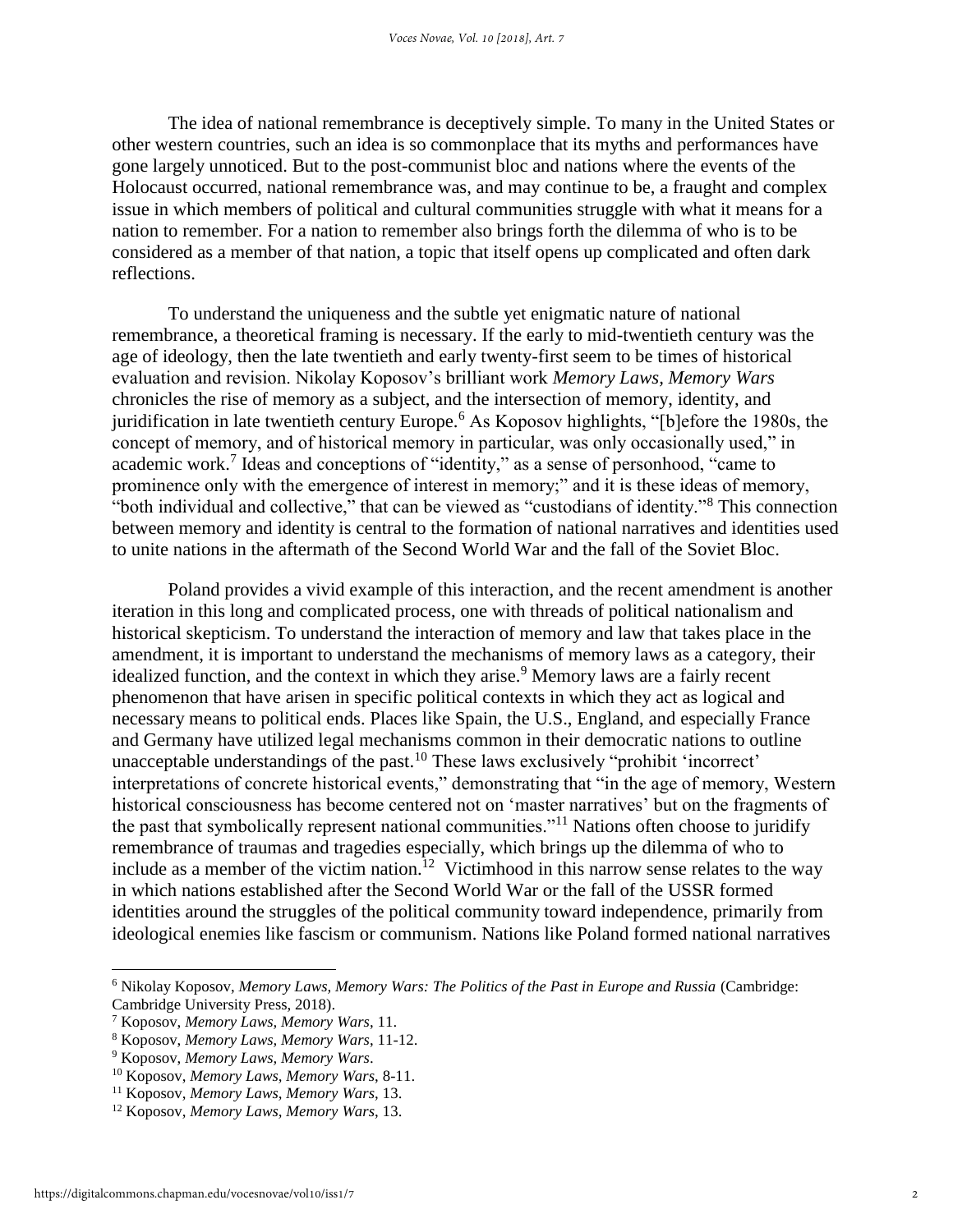The idea of national remembrance is deceptively simple. To many in the United States or other western countries, such an idea is so commonplace that its myths and performances have gone largely unnoticed. But to the post-communist bloc and nations where the events of the Holocaust occurred, national remembrance was, and may continue to be, a fraught and complex issue in which members of political and cultural communities struggle with what it means for a nation to remember. For a nation to remember also brings forth the dilemma of who is to be considered as a member of that nation, a topic that itself opens up complicated and often dark reflections.

To understand the uniqueness and the subtle yet enigmatic nature of national remembrance, a theoretical framing is necessary. If the early to mid-twentieth century was the age of ideology, then the late twentieth and early twenty-first seem to be times of historical evaluation and revision. Nikolay Koposov's brilliant work *Memory Laws, Memory Wars* chronicles the rise of memory as a subject, and the intersection of memory, identity, and juridification in late twentieth century Europe.<sup>6</sup> As Koposov highlights, "[b]efore the 1980s, the concept of memory, and of historical memory in particular, was only occasionally used," in academic work.<sup>7</sup> Ideas and conceptions of "identity," as a sense of personhood, "came to prominence only with the emergence of interest in memory;" and it is these ideas of memory, "both individual and collective," that can be viewed as "custodians of identity."<sup>8</sup> This connection between memory and identity is central to the formation of national narratives and identities used to unite nations in the aftermath of the Second World War and the fall of the Soviet Bloc.

Poland provides a vivid example of this interaction, and the recent amendment is another iteration in this long and complicated process, one with threads of political nationalism and historical skepticism. To understand the interaction of memory and law that takes place in the amendment, it is important to understand the mechanisms of memory laws as a category, their idealized function, and the context in which they arise.<sup>9</sup> Memory laws are a fairly recent phenomenon that have arisen in specific political contexts in which they act as logical and necessary means to political ends. Places like Spain, the U.S., England, and especially France and Germany have utilized legal mechanisms common in their democratic nations to outline unacceptable understandings of the past.<sup>10</sup> These laws exclusively "prohibit 'incorrect' interpretations of concrete historical events," demonstrating that "in the age of memory, Western historical consciousness has become centered not on 'master narratives' but on the fragments of the past that symbolically represent national communities."<sup>11</sup> Nations often choose to juridify remembrance of traumas and tragedies especially, which brings up the dilemma of who to include as a member of the victim nation.<sup>12</sup> Victimhood in this narrow sense relates to the way in which nations established after the Second World War or the fall of the USSR formed identities around the struggles of the political community toward independence, primarily from ideological enemies like fascism or communism. Nations like Poland formed national narratives

<sup>6</sup> Nikolay Koposov, *Memory Laws, Memory Wars: The Politics of the Past in Europe and Russia* (Cambridge: Cambridge University Press, 2018).

<sup>7</sup> Koposov, *Memory Laws, Memory Wars*, 11.

<sup>8</sup> Koposov, *Memory Laws, Memory Wars*, 11-12.

<sup>9</sup> Koposov, *Memory Laws, Memory Wars*.

<sup>10</sup> Koposov, *Memory Laws, Memory Wars*, 8-11.

<sup>11</sup> Koposov, *Memory Laws, Memory Wars*, 13.

<sup>12</sup> Koposov, *Memory Laws, Memory Wars*, 13.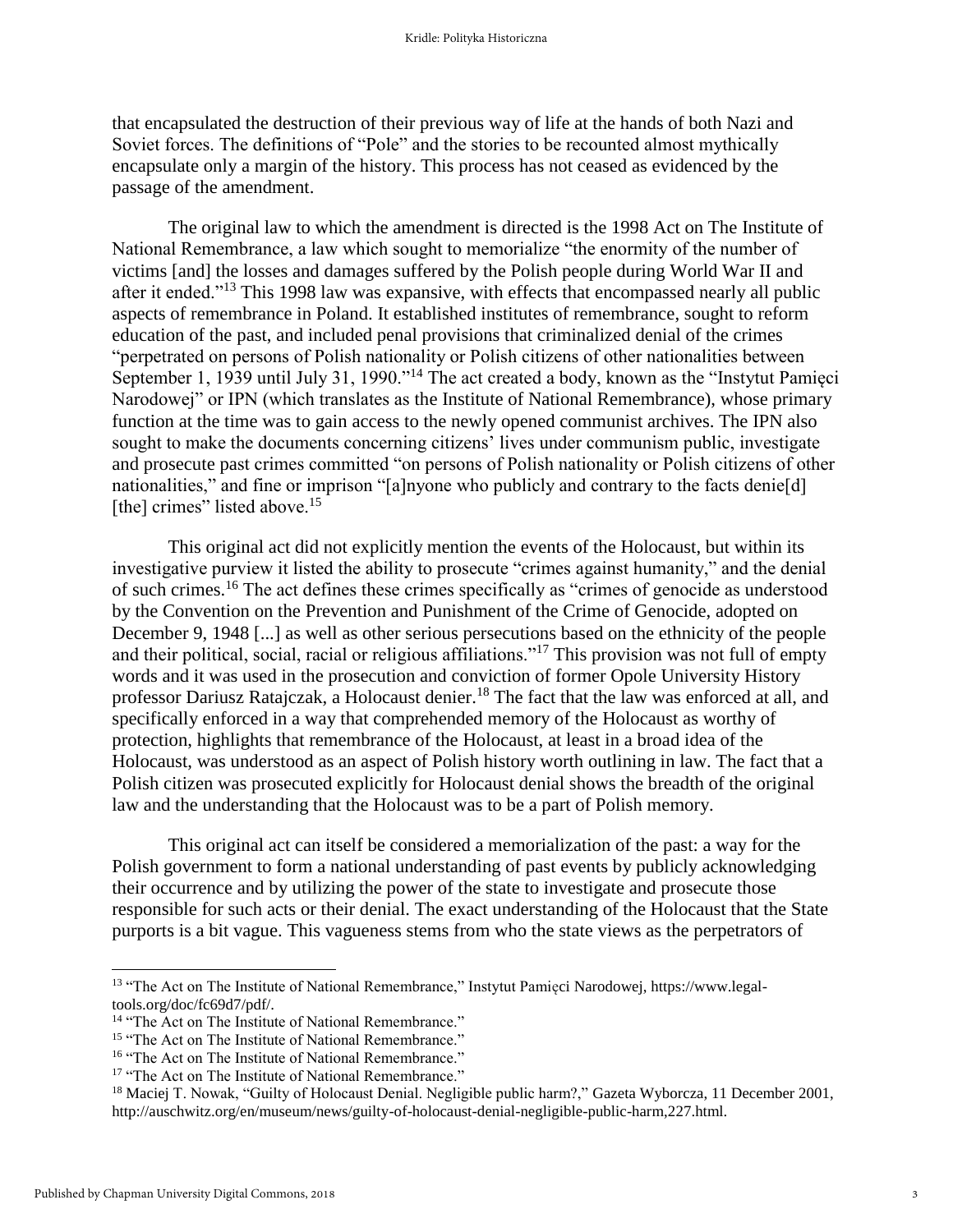that encapsulated the destruction of their previous way of life at the hands of both Nazi and Soviet forces. The definitions of "Pole" and the stories to be recounted almost mythically encapsulate only a margin of the history. This process has not ceased as evidenced by the passage of the amendment.

The original law to which the amendment is directed is the 1998 Act on The Institute of National Remembrance, a law which sought to memorialize "the enormity of the number of victims [and] the losses and damages suffered by the Polish people during World War II and after it ended."<sup>13</sup> This 1998 law was expansive, with effects that encompassed nearly all public aspects of remembrance in Poland. It established institutes of remembrance, sought to reform education of the past, and included penal provisions that criminalized denial of the crimes "perpetrated on persons of Polish nationality or Polish citizens of other nationalities between September 1, 1939 until July 31, 1990."<sup>14</sup> The act created a body, known as the "Instytut Pamięci Narodowej" or IPN (which translates as the Institute of National Remembrance), whose primary function at the time was to gain access to the newly opened communist archives. The IPN also sought to make the documents concerning citizens' lives under communism public, investigate and prosecute past crimes committed "on persons of Polish nationality or Polish citizens of other nationalities," and fine or imprison "[a]nyone who publicly and contrary to the facts denie[d] [the] crimes" listed above.<sup>15</sup>

This original act did not explicitly mention the events of the Holocaust, but within its investigative purview it listed the ability to prosecute "crimes against humanity," and the denial of such crimes.<sup>16</sup> The act defines these crimes specifically as "crimes of genocide as understood by the Convention on the Prevention and Punishment of the Crime of Genocide, adopted on December 9, 1948 [...] as well as other serious persecutions based on the ethnicity of the people and their political, social, racial or religious affiliations."<sup>17</sup> This provision was not full of empty words and it was used in the prosecution and conviction of former Opole University History professor Dariusz Ratajczak, a Holocaust denier.<sup>18</sup> The fact that the law was enforced at all, and specifically enforced in a way that comprehended memory of the Holocaust as worthy of protection, highlights that remembrance of the Holocaust, at least in a broad idea of the Holocaust, was understood as an aspect of Polish history worth outlining in law. The fact that a Polish citizen was prosecuted explicitly for Holocaust denial shows the breadth of the original law and the understanding that the Holocaust was to be a part of Polish memory.

This original act can itself be considered a memorialization of the past: a way for the Polish government to form a national understanding of past events by publicly acknowledging their occurrence and by utilizing the power of the state to investigate and prosecute those responsible for such acts or their denial. The exact understanding of the Holocaust that the State purports is a bit vague. This vagueness stems from who the state views as the perpetrators of

<sup>13</sup> "The Act on The Institute of National Remembrance," Instytut Pamięci Narodowej, https://www.legaltools.org/doc/fc69d7/pdf/.

<sup>&</sup>lt;sup>14</sup> "The Act on The Institute of National Remembrance."

<sup>&</sup>lt;sup>15</sup> "The Act on The Institute of National Remembrance."

<sup>&</sup>lt;sup>16</sup> "The Act on The Institute of National Remembrance."

<sup>&</sup>lt;sup>17</sup> "The Act on The Institute of National Remembrance."

<sup>&</sup>lt;sup>18</sup> Maciej T. Nowak, "Guilty of Holocaust Denial. Negligible public harm?," Gazeta Wyborcza, 11 December 2001, http://auschwitz.org/en/museum/news/guilty-of-holocaust-denial-negligible-public-harm,227.html.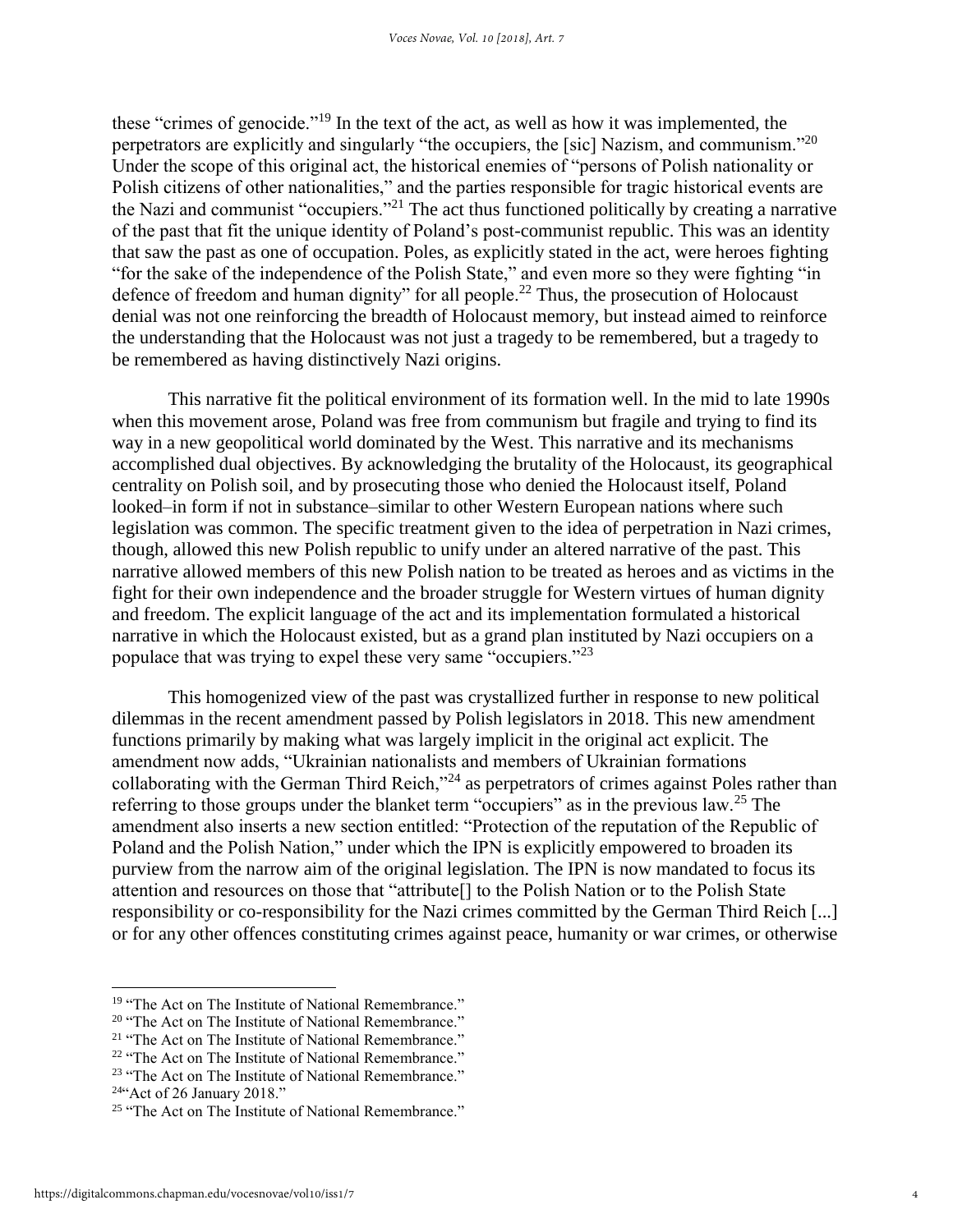these "crimes of genocide."<sup>19</sup> In the text of the act, as well as how it was implemented, the perpetrators are explicitly and singularly "the occupiers, the [sic] Nazism, and communism."<sup>20</sup> Under the scope of this original act, the historical enemies of "persons of Polish nationality or Polish citizens of other nationalities," and the parties responsible for tragic historical events are the Nazi and communist "occupiers."<sup>21</sup> The act thus functioned politically by creating a narrative of the past that fit the unique identity of Poland's post-communist republic. This was an identity that saw the past as one of occupation. Poles, as explicitly stated in the act, were heroes fighting "for the sake of the independence of the Polish State," and even more so they were fighting "in defence of freedom and human dignity" for all people.<sup>22</sup> Thus, the prosecution of Holocaust denial was not one reinforcing the breadth of Holocaust memory, but instead aimed to reinforce the understanding that the Holocaust was not just a tragedy to be remembered, but a tragedy to be remembered as having distinctively Nazi origins.

This narrative fit the political environment of its formation well. In the mid to late 1990s when this movement arose, Poland was free from communism but fragile and trying to find its way in a new geopolitical world dominated by the West. This narrative and its mechanisms accomplished dual objectives. By acknowledging the brutality of the Holocaust, its geographical centrality on Polish soil, and by prosecuting those who denied the Holocaust itself, Poland looked–in form if not in substance–similar to other Western European nations where such legislation was common. The specific treatment given to the idea of perpetration in Nazi crimes, though, allowed this new Polish republic to unify under an altered narrative of the past. This narrative allowed members of this new Polish nation to be treated as heroes and as victims in the fight for their own independence and the broader struggle for Western virtues of human dignity and freedom. The explicit language of the act and its implementation formulated a historical narrative in which the Holocaust existed, but as a grand plan instituted by Nazi occupiers on a populace that was trying to expel these very same "occupiers."<sup>23</sup>

This homogenized view of the past was crystallized further in response to new political dilemmas in the recent amendment passed by Polish legislators in 2018. This new amendment functions primarily by making what was largely implicit in the original act explicit. The amendment now adds, "Ukrainian nationalists and members of Ukrainian formations collaborating with the German Third Reich,"<sup>24</sup> as perpetrators of crimes against Poles rather than referring to those groups under the blanket term "occupiers" as in the previous law.<sup>25</sup> The amendment also inserts a new section entitled: "Protection of the reputation of the Republic of Poland and the Polish Nation," under which the IPN is explicitly empowered to broaden its purview from the narrow aim of the original legislation. The IPN is now mandated to focus its attention and resources on those that "attribute[] to the Polish Nation or to the Polish State responsibility or co-responsibility for the Nazi crimes committed by the German Third Reich [...] or for any other offences constituting crimes against peace, humanity or war crimes, or otherwise

- <sup>20</sup> "The Act on The Institute of National Remembrance."
- <sup>21</sup> "The Act on The Institute of National Remembrance."
- <sup>22</sup> "The Act on The Institute of National Remembrance."

<sup>&</sup>lt;sup>19</sup> "The Act on The Institute of National Remembrance."

<sup>&</sup>lt;sup>23</sup> "The Act on The Institute of National Remembrance."

 $24$ "Act of 26 January 2018."

<sup>&</sup>lt;sup>25</sup> "The Act on The Institute of National Remembrance."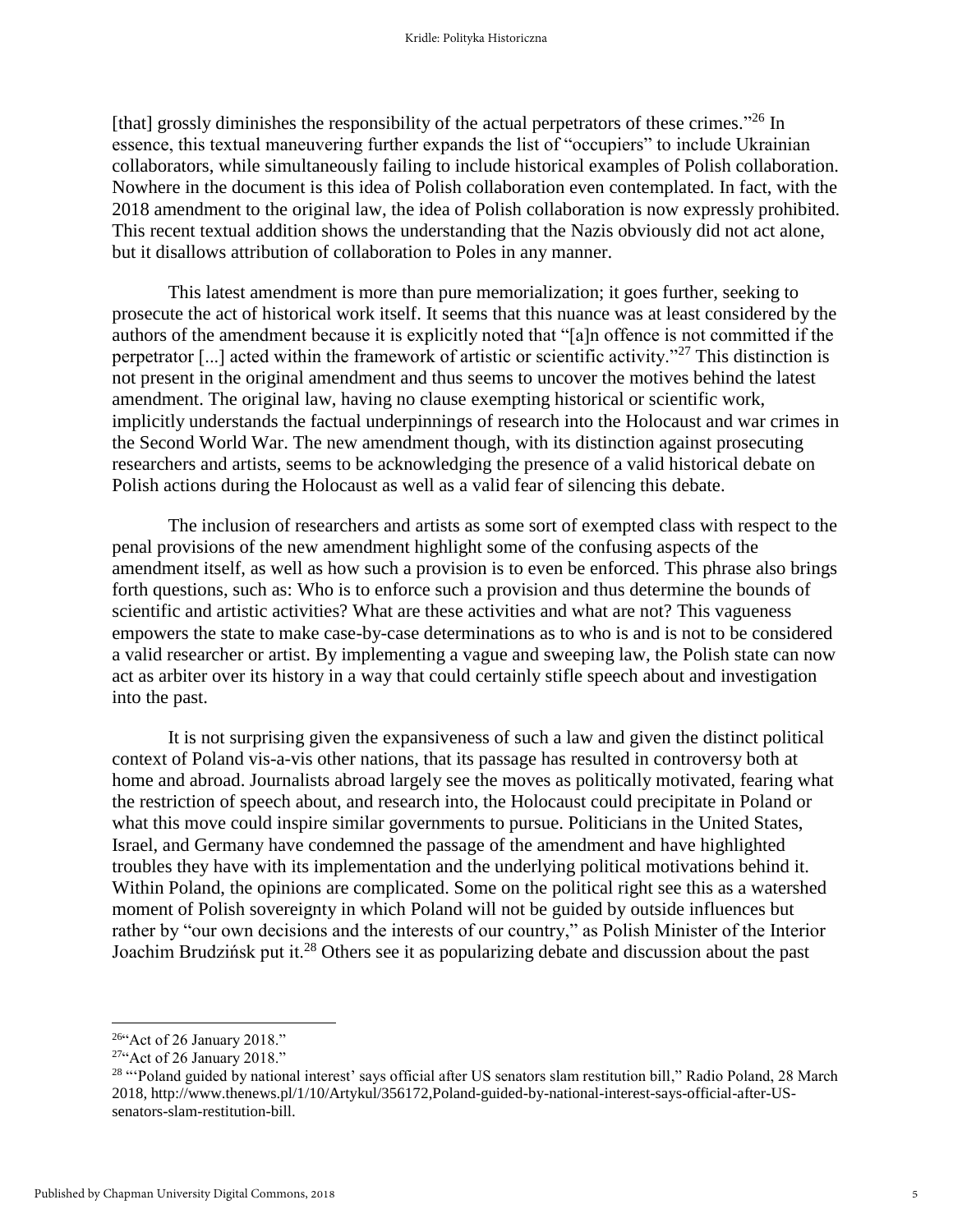[that] grossly diminishes the responsibility of the actual perpetrators of these crimes."<sup>26</sup> In essence, this textual maneuvering further expands the list of "occupiers" to include Ukrainian collaborators, while simultaneously failing to include historical examples of Polish collaboration. Nowhere in the document is this idea of Polish collaboration even contemplated. In fact, with the 2018 amendment to the original law, the idea of Polish collaboration is now expressly prohibited. This recent textual addition shows the understanding that the Nazis obviously did not act alone, but it disallows attribution of collaboration to Poles in any manner.

This latest amendment is more than pure memorialization; it goes further, seeking to prosecute the act of historical work itself. It seems that this nuance was at least considered by the authors of the amendment because it is explicitly noted that "[a]n offence is not committed if the perpetrator [...] acted within the framework of artistic or scientific activity."<sup>27</sup> This distinction is not present in the original amendment and thus seems to uncover the motives behind the latest amendment. The original law, having no clause exempting historical or scientific work, implicitly understands the factual underpinnings of research into the Holocaust and war crimes in the Second World War. The new amendment though, with its distinction against prosecuting researchers and artists, seems to be acknowledging the presence of a valid historical debate on Polish actions during the Holocaust as well as a valid fear of silencing this debate.

The inclusion of researchers and artists as some sort of exempted class with respect to the penal provisions of the new amendment highlight some of the confusing aspects of the amendment itself, as well as how such a provision is to even be enforced. This phrase also brings forth questions, such as: Who is to enforce such a provision and thus determine the bounds of scientific and artistic activities? What are these activities and what are not? This vagueness empowers the state to make case-by-case determinations as to who is and is not to be considered a valid researcher or artist. By implementing a vague and sweeping law, the Polish state can now act as arbiter over its history in a way that could certainly stifle speech about and investigation into the past.

It is not surprising given the expansiveness of such a law and given the distinct political context of Poland vis-a-vis other nations, that its passage has resulted in controversy both at home and abroad. Journalists abroad largely see the moves as politically motivated, fearing what the restriction of speech about, and research into, the Holocaust could precipitate in Poland or what this move could inspire similar governments to pursue. Politicians in the United States, Israel, and Germany have condemned the passage of the amendment and have highlighted troubles they have with its implementation and the underlying political motivations behind it. Within Poland, the opinions are complicated. Some on the political right see this as a watershed moment of Polish sovereignty in which Poland will not be guided by outside influences but rather by "our own decisions and the interests of our country," as Polish Minister of the Interior Joachim Brudzińsk put it.<sup>28</sup> Others see it as popularizing debate and discussion about the past

<sup>26</sup>"Act of 26 January 2018."

 $27$ "Act of 26 January 2018."

<sup>&</sup>lt;sup>28</sup> "Poland guided by national interest' says official after US senators slam restitution bill," Radio Poland, 28 March 2018, http://www.thenews.pl/1/10/Artykul/356172,Poland-guided-by-national-interest-says-official-after-USsenators-slam-restitution-bill.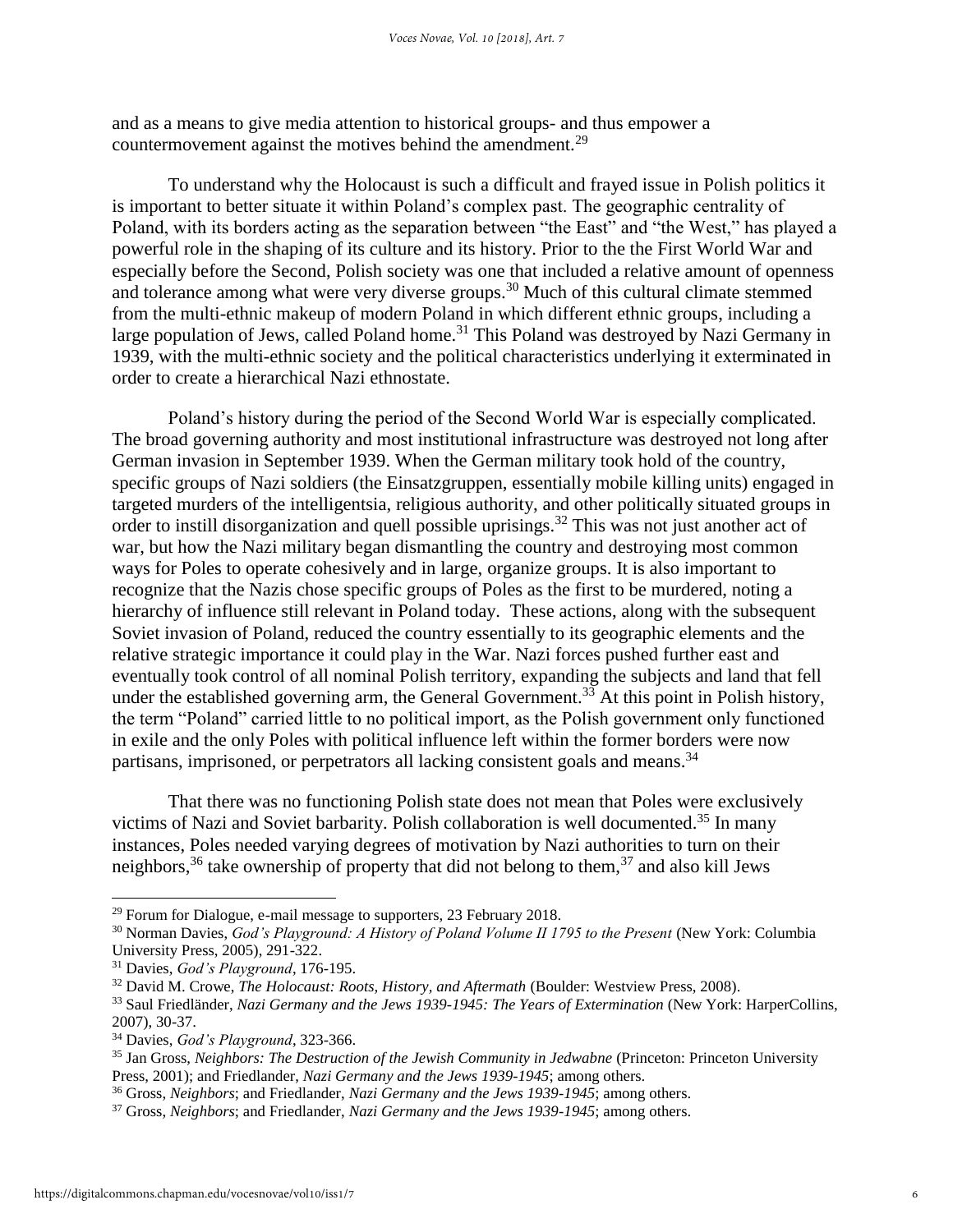and as a means to give media attention to historical groups- and thus empower a countermovement against the motives behind the amendment.<sup>29</sup>

To understand why the Holocaust is such a difficult and frayed issue in Polish politics it is important to better situate it within Poland's complex past. The geographic centrality of Poland, with its borders acting as the separation between "the East" and "the West," has played a powerful role in the shaping of its culture and its history. Prior to the the First World War and especially before the Second, Polish society was one that included a relative amount of openness and tolerance among what were very diverse groups.<sup>30</sup> Much of this cultural climate stemmed from the multi-ethnic makeup of modern Poland in which different ethnic groups, including a large population of Jews, called Poland home.<sup>31</sup> This Poland was destroyed by Nazi Germany in 1939, with the multi-ethnic society and the political characteristics underlying it exterminated in order to create a hierarchical Nazi ethnostate.

Poland's history during the period of the Second World War is especially complicated. The broad governing authority and most institutional infrastructure was destroyed not long after German invasion in September 1939. When the German military took hold of the country, specific groups of Nazi soldiers (the Einsatzgruppen, essentially mobile killing units) engaged in targeted murders of the intelligentsia, religious authority, and other politically situated groups in order to instill disorganization and quell possible uprisings.<sup>32</sup> This was not just another act of war, but how the Nazi military began dismantling the country and destroying most common ways for Poles to operate cohesively and in large, organize groups. It is also important to recognize that the Nazis chose specific groups of Poles as the first to be murdered, noting a hierarchy of influence still relevant in Poland today. These actions, along with the subsequent Soviet invasion of Poland, reduced the country essentially to its geographic elements and the relative strategic importance it could play in the War. Nazi forces pushed further east and eventually took control of all nominal Polish territory, expanding the subjects and land that fell under the established governing arm, the General Government.<sup>33</sup> At this point in Polish history, the term "Poland" carried little to no political import, as the Polish government only functioned in exile and the only Poles with political influence left within the former borders were now partisans, imprisoned, or perpetrators all lacking consistent goals and means.<sup>34</sup>

That there was no functioning Polish state does not mean that Poles were exclusively victims of Nazi and Soviet barbarity. Polish collaboration is well documented.<sup>35</sup> In many instances, Poles needed varying degrees of motivation by Nazi authorities to turn on their neighbors,  $36$  take ownership of property that did not belong to them,  $37$  and also kill Jews

<sup>&</sup>lt;sup>29</sup> Forum for Dialogue, e-mail message to supporters, 23 February 2018.

<sup>30</sup> Norman Davies, *God's Playground: A History of Poland Volume II 1795 to the Present* (New York: Columbia University Press, 2005), 291-322.

<sup>31</sup> Davies, *God's Playground*, 176-195.

<sup>32</sup> David M. Crowe, *The Holocaust: Roots, History, and Aftermath* (Boulder: Westview Press, 2008).

<sup>33</sup> Saul Friedländer, *Nazi Germany and the Jews 1939-1945: The Years of Extermination* (New York: HarperCollins, 2007), 30-37.

<sup>34</sup> Davies, *God's Playground*, 323-366.

<sup>35</sup> Jan Gross, *Neighbors: The Destruction of the Jewish Community in Jedwabne* (Princeton: Princeton University Press, 2001); and Friedlander, *Nazi Germany and the Jews 1939-1945*; among others.

<sup>36</sup> Gross, *Neighbors*; and Friedlander, *Nazi Germany and the Jews 1939-1945*; among others.

<sup>37</sup> Gross, *Neighbors*; and Friedlander, *Nazi Germany and the Jews 1939-1945*; among others.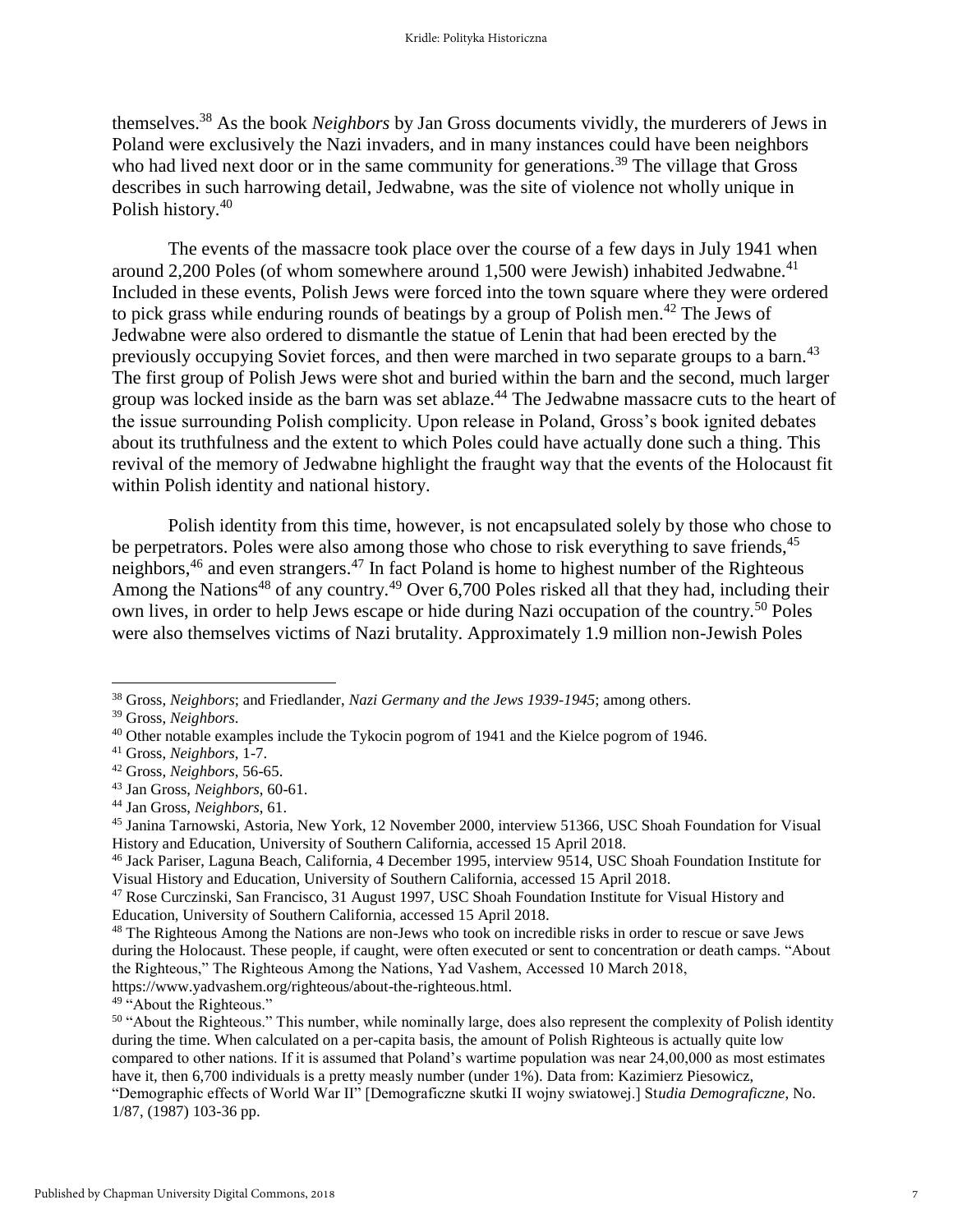themselves.<sup>38</sup> As the book *Neighbors* by Jan Gross documents vividly, the murderers of Jews in Poland were exclusively the Nazi invaders, and in many instances could have been neighbors who had lived next door or in the same community for generations.<sup>39</sup> The village that Gross describes in such harrowing detail, Jedwabne, was the site of violence not wholly unique in Polish history.<sup>40</sup>

The events of the massacre took place over the course of a few days in July 1941 when around 2,200 Poles (of whom somewhere around 1,500 were Jewish) inhabited Jedwabne.<sup>41</sup> Included in these events, Polish Jews were forced into the town square where they were ordered to pick grass while enduring rounds of beatings by a group of Polish men.<sup>42</sup> The Jews of Jedwabne were also ordered to dismantle the statue of Lenin that had been erected by the previously occupying Soviet forces, and then were marched in two separate groups to a barn.<sup>43</sup> The first group of Polish Jews were shot and buried within the barn and the second, much larger group was locked inside as the barn was set ablaze.<sup>44</sup> The Jedwabne massacre cuts to the heart of the issue surrounding Polish complicity. Upon release in Poland, Gross's book ignited debates about its truthfulness and the extent to which Poles could have actually done such a thing. This revival of the memory of Jedwabne highlight the fraught way that the events of the Holocaust fit within Polish identity and national history.

Polish identity from this time, however, is not encapsulated solely by those who chose to be perpetrators. Poles were also among those who chose to risk everything to save friends,<sup>45</sup> neighbors,  $46$  and even strangers.  $47$  In fact Poland is home to highest number of the Righteous Among the Nations<sup>48</sup> of any country.<sup>49</sup> Over 6,700 Poles risked all that they had, including their own lives, in order to help Jews escape or hide during Nazi occupation of the country.<sup>50</sup> Poles were also themselves victims of Nazi brutality. Approximately 1.9 million non-Jewish Poles

<sup>38</sup> Gross, *Neighbors*; and Friedlander, *Nazi Germany and the Jews 1939-1945*; among others.

<sup>39</sup> Gross, *Neighbors*.

 $40$  Other notable examples include the Tykocin pogrom of 1941 and the Kielce pogrom of 1946.

<sup>41</sup> Gross, *Neighbors*, 1-7.

<sup>42</sup> Gross, *Neighbors*, 56-65.

<sup>43</sup> Jan Gross, *Neighbors*, 60-61.

<sup>44</sup> Jan Gross, *Neighbors*, 61.

<sup>45</sup> Janina Tarnowski, Astoria, New York, 12 November 2000, interview 51366, USC Shoah Foundation for Visual History and Education, University of Southern California, accessed 15 April 2018.

<sup>46</sup> Jack Pariser, Laguna Beach, California, 4 December 1995, interview 9514, USC Shoah Foundation Institute for Visual History and Education, University of Southern California, accessed 15 April 2018.

<sup>47</sup> Rose Curczinski, San Francisco, 31 August 1997, USC Shoah Foundation Institute for Visual History and Education, University of Southern California, accessed 15 April 2018.

<sup>&</sup>lt;sup>48</sup> The Righteous Among the Nations are non-Jews who took on incredible risks in order to rescue or save Jews during the Holocaust. These people, if caught, were often executed or sent to concentration or death camps. "About the Righteous," The Righteous Among the Nations, Yad Vashem, Accessed 10 March 2018, https://www.yadvashem.org/righteous/about-the-righteous.html.

<sup>&</sup>lt;sup>49</sup> "About the Righteous."

<sup>&</sup>lt;sup>50</sup> "About the Righteous." This number, while nominally large, does also represent the complexity of Polish identity during the time. When calculated on a per-capita basis, the amount of Polish Righteous is actually quite low compared to other nations. If it is assumed that Poland's wartime population was near 24,00,000 as most estimates have it, then 6,700 individuals is a pretty measly number (under 1%). Data from: Kazimierz Piesowicz,

<sup>&</sup>quot;Demographic effects of World War II" [Demograficzne skutki II wojny swiatowej.] St*udia Demograficzne*, No. 1/87, (1987) 103-36 pp.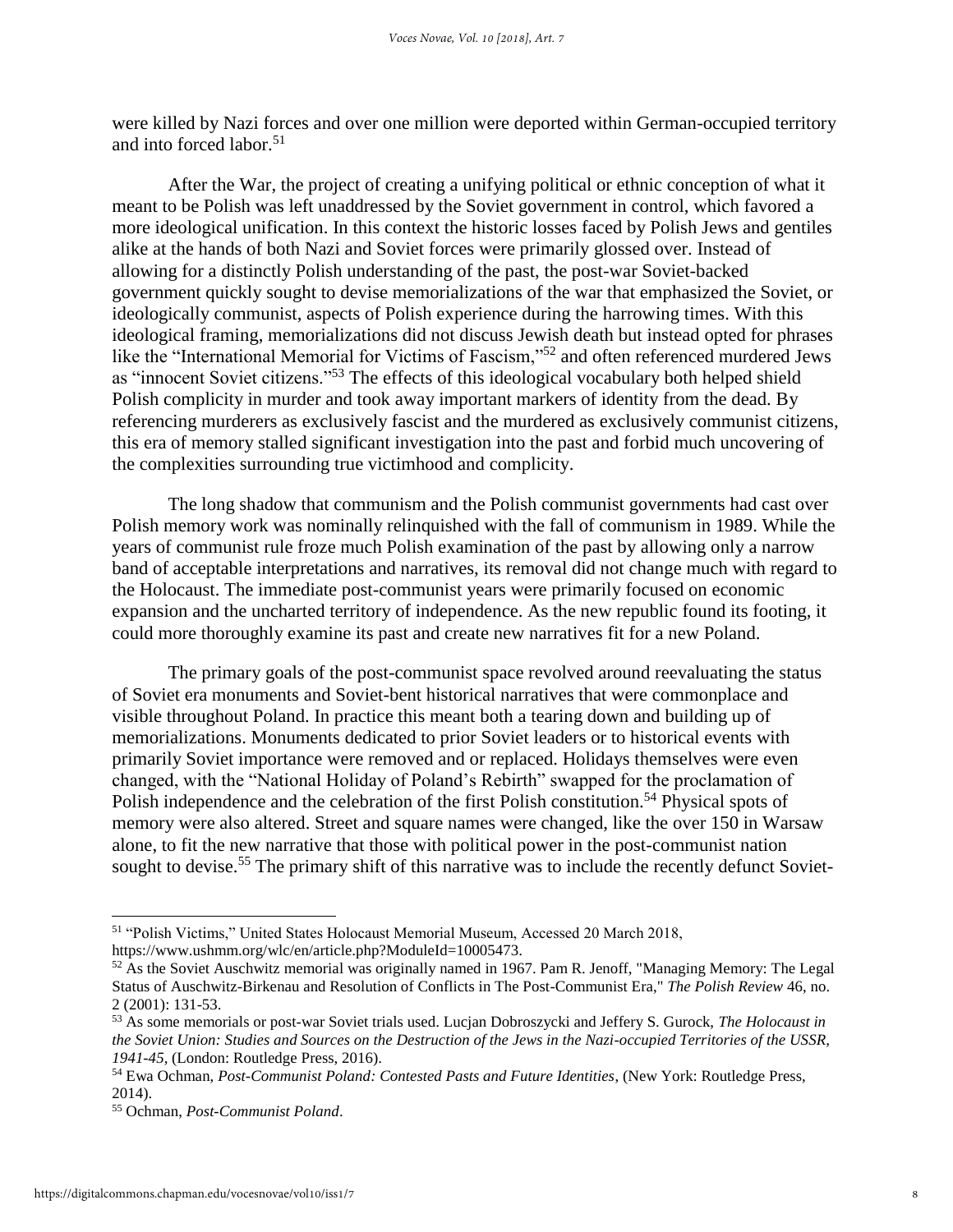were killed by Nazi forces and over one million were deported within German-occupied territory and into forced labor.<sup>51</sup>

After the War, the project of creating a unifying political or ethnic conception of what it meant to be Polish was left unaddressed by the Soviet government in control, which favored a more ideological unification. In this context the historic losses faced by Polish Jews and gentiles alike at the hands of both Nazi and Soviet forces were primarily glossed over. Instead of allowing for a distinctly Polish understanding of the past, the post-war Soviet-backed government quickly sought to devise memorializations of the war that emphasized the Soviet, or ideologically communist, aspects of Polish experience during the harrowing times. With this ideological framing, memorializations did not discuss Jewish death but instead opted for phrases like the "International Memorial for Victims of Fascism,"<sup>52</sup> and often referenced murdered Jews as "innocent Soviet citizens."<sup>53</sup> The effects of this ideological vocabulary both helped shield Polish complicity in murder and took away important markers of identity from the dead. By referencing murderers as exclusively fascist and the murdered as exclusively communist citizens, this era of memory stalled significant investigation into the past and forbid much uncovering of the complexities surrounding true victimhood and complicity.

The long shadow that communism and the Polish communist governments had cast over Polish memory work was nominally relinquished with the fall of communism in 1989. While the years of communist rule froze much Polish examination of the past by allowing only a narrow band of acceptable interpretations and narratives, its removal did not change much with regard to the Holocaust. The immediate post-communist years were primarily focused on economic expansion and the uncharted territory of independence. As the new republic found its footing, it could more thoroughly examine its past and create new narratives fit for a new Poland.

The primary goals of the post-communist space revolved around reevaluating the status of Soviet era monuments and Soviet-bent historical narratives that were commonplace and visible throughout Poland. In practice this meant both a tearing down and building up of memorializations. Monuments dedicated to prior Soviet leaders or to historical events with primarily Soviet importance were removed and or replaced. Holidays themselves were even changed, with the "National Holiday of Poland's Rebirth" swapped for the proclamation of Polish independence and the celebration of the first Polish constitution.<sup>54</sup> Physical spots of memory were also altered. Street and square names were changed, like the over 150 in Warsaw alone, to fit the new narrative that those with political power in the post-communist nation sought to devise.<sup>55</sup> The primary shift of this narrative was to include the recently defunct Soviet-

<sup>51</sup> "Polish Victims," United States Holocaust Memorial Museum, Accessed 20 March 2018, https://www.ushmm.org/wlc/en/article.php?ModuleId=10005473.

<sup>52</sup> As the Soviet Auschwitz memorial was originally named in 1967. Pam R. Jenoff, "Managing Memory: The Legal Status of Auschwitz-Birkenau and Resolution of Conflicts in The Post-Communist Era," *The Polish Review* 46, no. 2 (2001): 131-53.

<sup>53</sup> As some memorials or post-war Soviet trials used. Lucjan Dobroszycki and Jeffery S. Gurock, *The Holocaust in the Soviet Union: Studies and Sources on the Destruction of the Jews in the Nazi-occupied Territories of the USSR, 1941-45*, (London: Routledge Press, 2016).

<sup>54</sup> Ewa Ochman, *Post-Communist Poland: Contested Pasts and Future Identities*, (New York: Routledge Press, 2014).

<sup>55</sup> Ochman, *Post-Communist Poland*.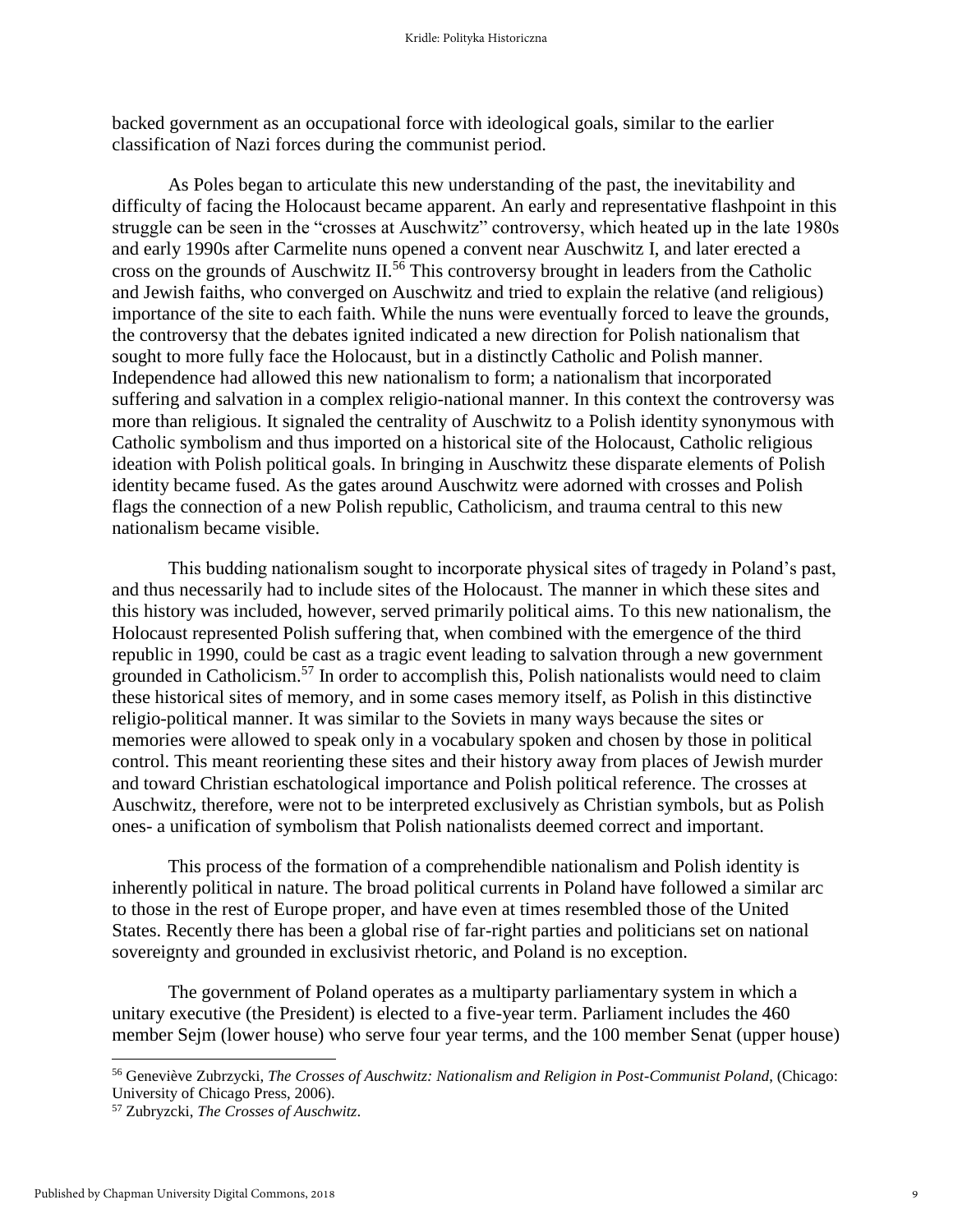backed government as an occupational force with ideological goals, similar to the earlier classification of Nazi forces during the communist period.

As Poles began to articulate this new understanding of the past, the inevitability and difficulty of facing the Holocaust became apparent. An early and representative flashpoint in this struggle can be seen in the "crosses at Auschwitz" controversy, which heated up in the late 1980s and early 1990s after Carmelite nuns opened a convent near Auschwitz I, and later erected a cross on the grounds of Auschwitz II.<sup>56</sup> This controversy brought in leaders from the Catholic and Jewish faiths, who converged on Auschwitz and tried to explain the relative (and religious) importance of the site to each faith. While the nuns were eventually forced to leave the grounds, the controversy that the debates ignited indicated a new direction for Polish nationalism that sought to more fully face the Holocaust, but in a distinctly Catholic and Polish manner. Independence had allowed this new nationalism to form; a nationalism that incorporated suffering and salvation in a complex religio-national manner. In this context the controversy was more than religious. It signaled the centrality of Auschwitz to a Polish identity synonymous with Catholic symbolism and thus imported on a historical site of the Holocaust, Catholic religious ideation with Polish political goals. In bringing in Auschwitz these disparate elements of Polish identity became fused. As the gates around Auschwitz were adorned with crosses and Polish flags the connection of a new Polish republic, Catholicism, and trauma central to this new nationalism became visible.

This budding nationalism sought to incorporate physical sites of tragedy in Poland's past, and thus necessarily had to include sites of the Holocaust. The manner in which these sites and this history was included, however, served primarily political aims. To this new nationalism, the Holocaust represented Polish suffering that, when combined with the emergence of the third republic in 1990, could be cast as a tragic event leading to salvation through a new government grounded in Catholicism.<sup>57</sup> In order to accomplish this, Polish nationalists would need to claim these historical sites of memory, and in some cases memory itself, as Polish in this distinctive religio-political manner. It was similar to the Soviets in many ways because the sites or memories were allowed to speak only in a vocabulary spoken and chosen by those in political control. This meant reorienting these sites and their history away from places of Jewish murder and toward Christian eschatological importance and Polish political reference. The crosses at Auschwitz, therefore, were not to be interpreted exclusively as Christian symbols, but as Polish ones- a unification of symbolism that Polish nationalists deemed correct and important.

This process of the formation of a comprehendible nationalism and Polish identity is inherently political in nature. The broad political currents in Poland have followed a similar arc to those in the rest of Europe proper, and have even at times resembled those of the United States. Recently there has been a global rise of far-right parties and politicians set on national sovereignty and grounded in exclusivist rhetoric, and Poland is no exception.

The government of Poland operates as a multiparty parliamentary system in which a unitary executive (the President) is elected to a five-year term. Parliament includes the 460 member Sejm (lower house) who serve four year terms, and the 100 member Senat (upper house)

<sup>56</sup> Geneviève Zubrzycki, *The Crosses of Auschwitz: Nationalism and Religion in Post-Communist Poland*, (Chicago: University of Chicago Press, 2006).

<sup>57</sup> Zubryzcki, *The Crosses of Auschwitz*.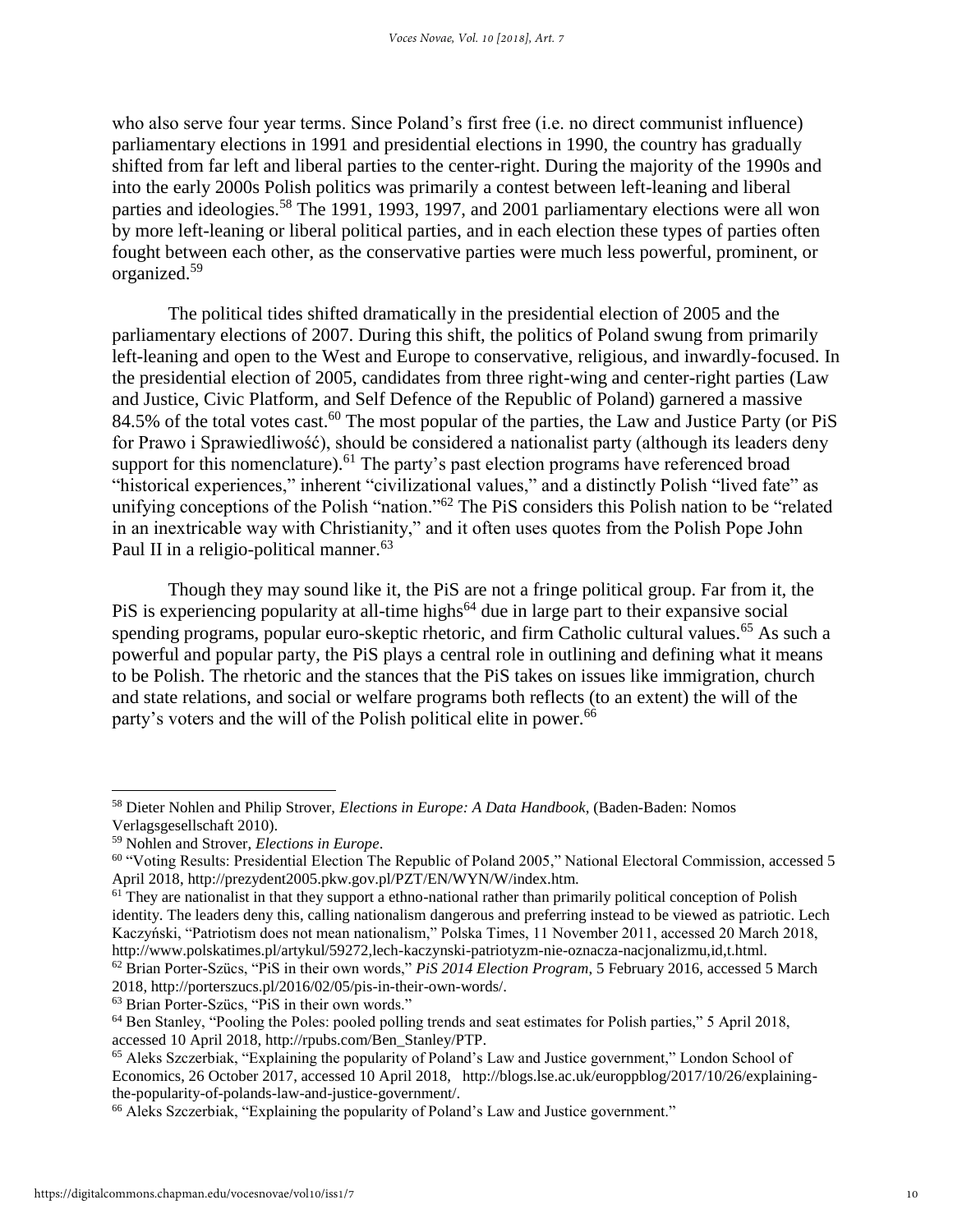who also serve four year terms. Since Poland's first free (i.e. no direct communist influence) parliamentary elections in 1991 and presidential elections in 1990, the country has gradually shifted from far left and liberal parties to the center-right. During the majority of the 1990s and into the early 2000s Polish politics was primarily a contest between left-leaning and liberal parties and ideologies.<sup>58</sup> The 1991, 1993, 1997, and 2001 parliamentary elections were all won by more left-leaning or liberal political parties, and in each election these types of parties often fought between each other, as the conservative parties were much less powerful, prominent, or organized.<sup>59</sup>

The political tides shifted dramatically in the presidential election of 2005 and the parliamentary elections of 2007. During this shift, the politics of Poland swung from primarily left-leaning and open to the West and Europe to conservative, religious, and inwardly-focused. In the presidential election of 2005, candidates from three right-wing and center-right parties (Law and Justice, Civic Platform, and Self Defence of the Republic of Poland) garnered a massive 84.5% of the total votes cast.<sup>60</sup> The most popular of the parties, the Law and Justice Party (or PiS for Prawo i Sprawiedliwość), should be considered a nationalist party (although its leaders deny support for this nomenclature).<sup>61</sup> The party's past election programs have referenced broad "historical experiences," inherent "civilizational values," and a distinctly Polish "lived fate" as unifying conceptions of the Polish "nation."<sup>62</sup> The PiS considers this Polish nation to be "related in an inextricable way with Christianity," and it often uses quotes from the Polish Pope John Paul II in a religio-political manner.<sup>63</sup>

Though they may sound like it, the PiS are not a fringe political group. Far from it, the PiS is experiencing popularity at all-time highs<sup> $64$ </sup> due in large part to their expansive social spending programs, popular euro-skeptic rhetoric, and firm Catholic cultural values.<sup>65</sup> As such a powerful and popular party, the PiS plays a central role in outlining and defining what it means to be Polish. The rhetoric and the stances that the PiS takes on issues like immigration, church and state relations, and social or welfare programs both reflects (to an extent) the will of the party's voters and the will of the Polish political elite in power.<sup>66</sup>

2018, http://porterszucs.pl/2016/02/05/pis-in-their-own-words/.

<sup>58</sup> Dieter Nohlen and Philip Strover, *Elections in Europe: A Data Handbook*, (Baden-Baden: Nomos Verlagsgesellschaft 2010).

<sup>59</sup> Nohlen and Strover, *Elections in Europe*.

<sup>60</sup> "Voting Results: Presidential Election The Republic of Poland 2005," National Electoral Commission, accessed 5 April 2018, http://prezydent2005.pkw.gov.pl/PZT/EN/WYN/W/index.htm.

<sup>&</sup>lt;sup>61</sup> They are nationalist in that they support a ethno-national rather than primarily political conception of Polish identity. The leaders deny this, calling nationalism dangerous and preferring instead to be viewed as patriotic. Lech Kaczyński, "Patriotism does not mean nationalism," Polska Times, 11 November 2011, accessed 20 March 2018, http://www.polskatimes.pl/artykul/59272,lech-kaczynski-patriotyzm-nie-oznacza-nacjonalizmu,id,t.html. <sup>62</sup> Brian Porter-Szücs, "PiS in their own words," *PiS 2014 Election Program*, 5 February 2016, accessed 5 March

<sup>63</sup> Brian Porter-Szücs, "PiS in their own words."

<sup>64</sup> Ben Stanley, "Pooling the Poles: pooled polling trends and seat estimates for Polish parties," 5 April 2018, accessed 10 April 2018, http://rpubs.com/Ben\_Stanley/PTP.

<sup>65</sup> Aleks Szczerbiak, "Explaining the popularity of Poland's Law and Justice government," London School of Economics, 26 October 2017, accessed 10 April 2018, http://blogs.lse.ac.uk/europpblog/2017/10/26/explainingthe-popularity-of-polands-law-and-justice-government/.

<sup>&</sup>lt;sup>66</sup> Aleks Szczerbiak, "Explaining the popularity of Poland's Law and Justice government."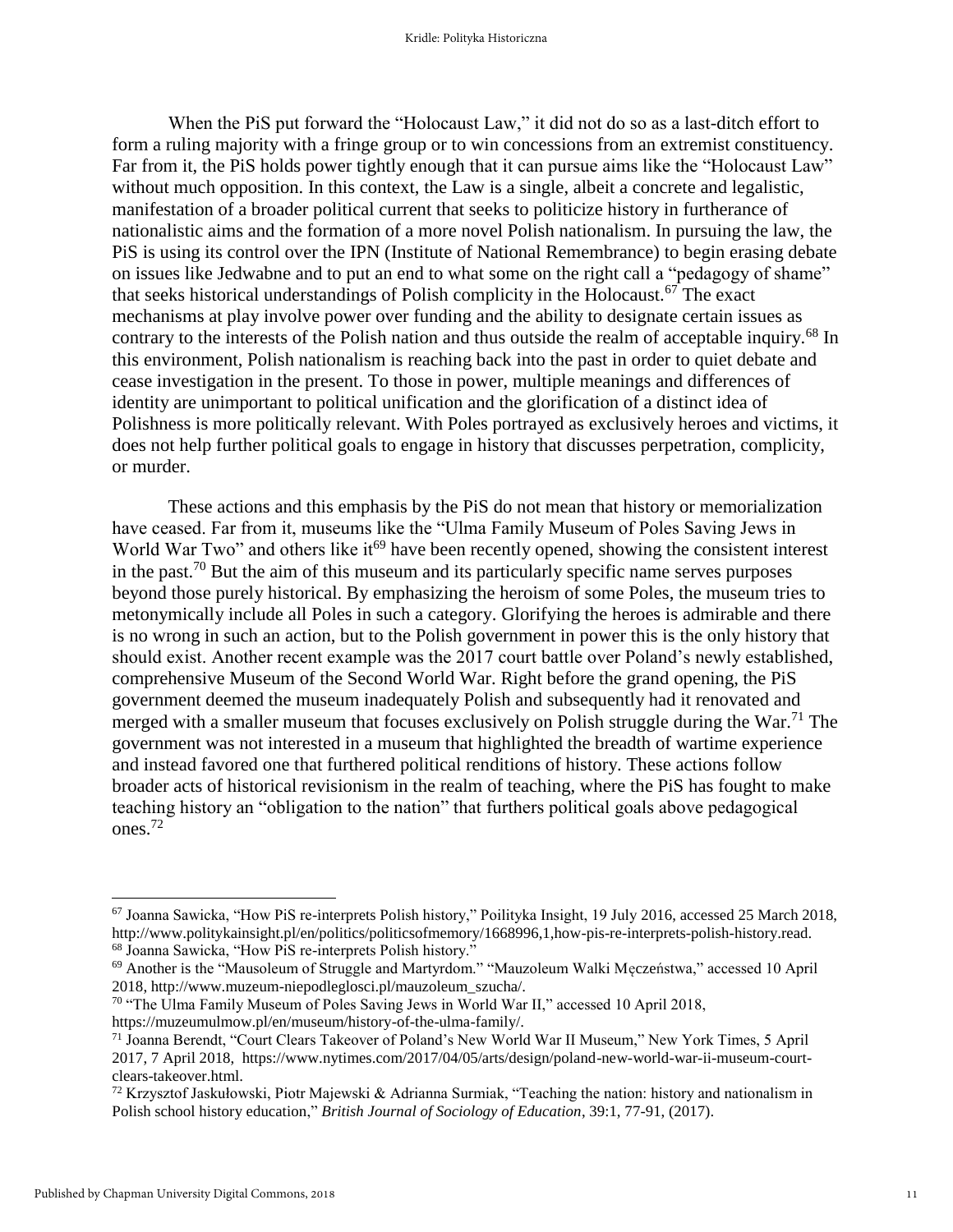When the PiS put forward the "Holocaust Law," it did not do so as a last-ditch effort to form a ruling majority with a fringe group or to win concessions from an extremist constituency. Far from it, the PiS holds power tightly enough that it can pursue aims like the "Holocaust Law" without much opposition. In this context, the Law is a single, albeit a concrete and legalistic, manifestation of a broader political current that seeks to politicize history in furtherance of nationalistic aims and the formation of a more novel Polish nationalism. In pursuing the law, the PiS is using its control over the IPN (Institute of National Remembrance) to begin erasing debate on issues like Jedwabne and to put an end to what some on the right call a "pedagogy of shame" that seeks historical understandings of Polish complicity in the Holocaust.<sup>67</sup> The exact mechanisms at play involve power over funding and the ability to designate certain issues as contrary to the interests of the Polish nation and thus outside the realm of acceptable inquiry.<sup>68</sup> In this environment, Polish nationalism is reaching back into the past in order to quiet debate and cease investigation in the present. To those in power, multiple meanings and differences of identity are unimportant to political unification and the glorification of a distinct idea of Polishness is more politically relevant. With Poles portrayed as exclusively heroes and victims, it does not help further political goals to engage in history that discusses perpetration, complicity, or murder.

These actions and this emphasis by the PiS do not mean that history or memorialization have ceased. Far from it, museums like the "Ulma Family Museum of Poles Saving Jews in World War Two" and others like it<sup>69</sup> have been recently opened, showing the consistent interest in the past.<sup>70</sup> But the aim of this museum and its particularly specific name serves purposes beyond those purely historical. By emphasizing the heroism of some Poles, the museum tries to metonymically include all Poles in such a category. Glorifying the heroes is admirable and there is no wrong in such an action, but to the Polish government in power this is the only history that should exist. Another recent example was the 2017 court battle over Poland's newly established, comprehensive Museum of the Second World War. Right before the grand opening, the PiS government deemed the museum inadequately Polish and subsequently had it renovated and merged with a smaller museum that focuses exclusively on Polish struggle during the War.<sup>71</sup> The government was not interested in a museum that highlighted the breadth of wartime experience and instead favored one that furthered political renditions of history. These actions follow broader acts of historical revisionism in the realm of teaching, where the PiS has fought to make teaching history an "obligation to the nation" that furthers political goals above pedagogical ones.<sup>72</sup>

<sup>67</sup> Joanna Sawicka, "How PiS re-interprets Polish history," Poilityka Insight, 19 July 2016, accessed 25 March 2018, http://www.politykainsight.pl/en/politics/politicsofmemory/1668996,1,how-pis-re-interprets-polish-history.read. <sup>68</sup> Joanna Sawicka, "How PiS re-interprets Polish history."

<sup>69</sup> Another is the "Mausoleum of Struggle and Martyrdom." "Mauzoleum Walki Męczeństwa," accessed 10 April 2018, http://www.muzeum-niepodleglosci.pl/mauzoleum\_szucha/.

<sup>70</sup> "The Ulma Family Museum of Poles Saving Jews in World War II," accessed 10 April 2018, https://muzeumulmow.pl/en/museum/history-of-the-ulma-family/.

<sup>71</sup> Joanna Berendt, "Court Clears Takeover of Poland's New World War II Museum," New York Times, 5 April 2017, 7 April 2018, https://www.nytimes.com/2017/04/05/arts/design/poland-new-world-war-ii-museum-courtclears-takeover.html.

 $72$  Krzysztof Jaskułowski, Piotr Majewski & Adrianna Surmiak, "Teaching the nation: history and nationalism in Polish school history education," *British Journal of Sociology of Education*, 39:1, 77-91, (2017).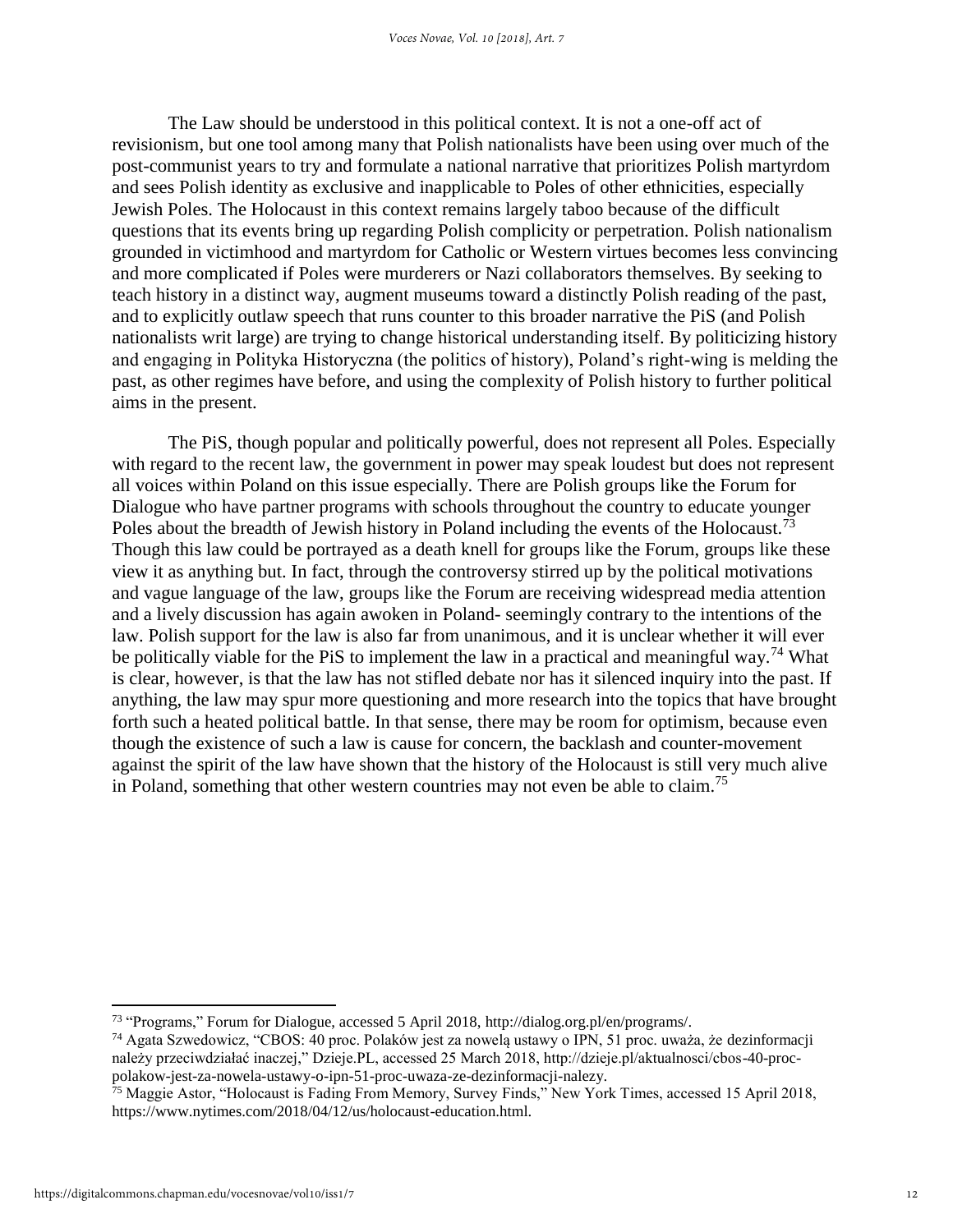The Law should be understood in this political context. It is not a one-off act of revisionism, but one tool among many that Polish nationalists have been using over much of the post-communist years to try and formulate a national narrative that prioritizes Polish martyrdom and sees Polish identity as exclusive and inapplicable to Poles of other ethnicities, especially Jewish Poles. The Holocaust in this context remains largely taboo because of the difficult questions that its events bring up regarding Polish complicity or perpetration. Polish nationalism grounded in victimhood and martyrdom for Catholic or Western virtues becomes less convincing and more complicated if Poles were murderers or Nazi collaborators themselves. By seeking to teach history in a distinct way, augment museums toward a distinctly Polish reading of the past, and to explicitly outlaw speech that runs counter to this broader narrative the PiS (and Polish nationalists writ large) are trying to change historical understanding itself. By politicizing history and engaging in Polityka Historyczna (the politics of history), Poland's right-wing is melding the past, as other regimes have before, and using the complexity of Polish history to further political aims in the present.

The PiS, though popular and politically powerful, does not represent all Poles. Especially with regard to the recent law, the government in power may speak loudest but does not represent all voices within Poland on this issue especially. There are Polish groups like the Forum for Dialogue who have partner programs with schools throughout the country to educate younger Poles about the breadth of Jewish history in Poland including the events of the Holocaust.<sup>73</sup> Though this law could be portrayed as a death knell for groups like the Forum, groups like these view it as anything but. In fact, through the controversy stirred up by the political motivations and vague language of the law, groups like the Forum are receiving widespread media attention and a lively discussion has again awoken in Poland- seemingly contrary to the intentions of the law. Polish support for the law is also far from unanimous, and it is unclear whether it will ever be politically viable for the PiS to implement the law in a practical and meaningful way.<sup>74</sup> What is clear, however, is that the law has not stifled debate nor has it silenced inquiry into the past. If anything, the law may spur more questioning and more research into the topics that have brought forth such a heated political battle. In that sense, there may be room for optimism, because even though the existence of such a law is cause for concern, the backlash and counter-movement against the spirit of the law have shown that the history of the Holocaust is still very much alive in Poland, something that other western countries may not even be able to claim.<sup>75</sup>

<sup>73</sup> "Programs," Forum for Dialogue, accessed 5 April 2018, http://dialog.org.pl/en/programs/.

<sup>74</sup> Agata Szwedowicz, "CBOS: 40 proc. Polaków jest za nowelą ustawy o IPN, 51 proc. uważa, że dezinformacji należy przeciwdziałać inaczej," Dzieje.PL, accessed 25 March 2018, http://dzieje.pl/aktualnosci/cbos-40-procpolakow-jest-za-nowela-ustawy-o-ipn-51-proc-uwaza-ze-dezinformacji-nalezy.

<sup>&</sup>lt;sup>75</sup> Maggie Astor, "Holocaust is Fading From Memory, Survey Finds," New York Times, accessed 15 April 2018, https://www.nytimes.com/2018/04/12/us/holocaust-education.html.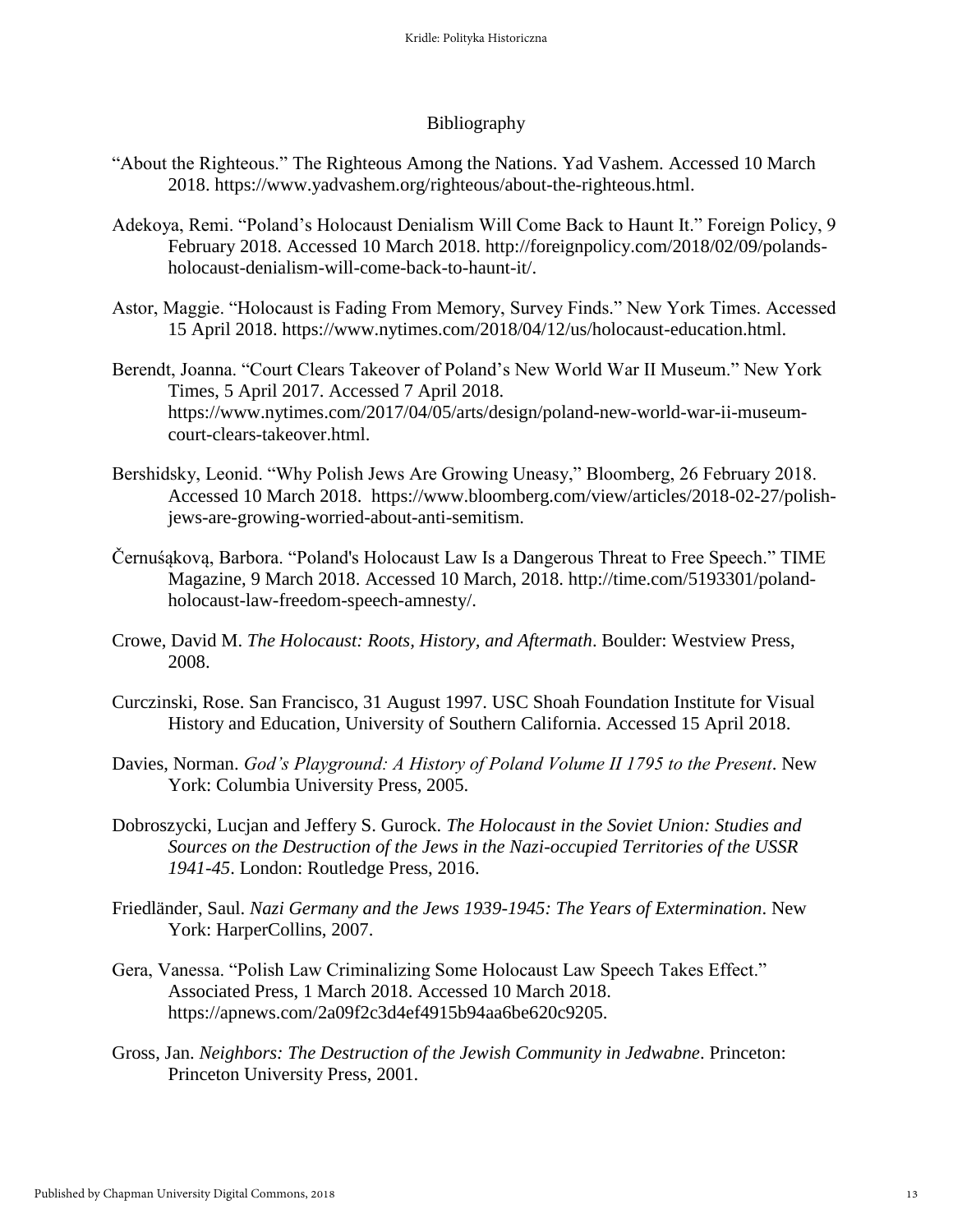### Bibliography

- "About the Righteous." The Righteous Among the Nations. Yad Vashem. Accessed 10 March 2018. https://www.yadvashem.org/righteous/about-the-righteous.html.
- Adekoya, Remi. "Poland's Holocaust Denialism Will Come Back to Haunt It." Foreign Policy, 9 February 2018. Accessed 10 March 2018. http://foreignpolicy.com/2018/02/09/polandsholocaust-denialism-will-come-back-to-haunt-it/.
- Astor, Maggie. "Holocaust is Fading From Memory, Survey Finds." New York Times. Accessed 15 April 2018. https://www.nytimes.com/2018/04/12/us/holocaust-education.html.
- Berendt, Joanna. "Court Clears Takeover of Poland's New World War II Museum." New York Times, 5 April 2017. Accessed 7 April 2018. https://www.nytimes.com/2017/04/05/arts/design/poland-new-world-war-ii-museumcourt-clears-takeover.html.
- Bershidsky, Leonid. "Why Polish Jews Are Growing Uneasy," Bloomberg, 26 February 2018. Accessed 10 March 2018. https://www.bloomberg.com/view/articles/2018-02-27/polishjews-are-growing-worried-about-anti-semitism.
- Černuśąkovą, Barbora. "Poland's Holocaust Law Is a Dangerous Threat to Free Speech." TIME Magazine, 9 March 2018. Accessed 10 March, 2018. http://time.com/5193301/polandholocaust-law-freedom-speech-amnesty/.
- Crowe, David M. *The Holocaust: Roots, History, and Aftermath*. Boulder: Westview Press, 2008.
- Curczinski, Rose. San Francisco, 31 August 1997. USC Shoah Foundation Institute for Visual History and Education, University of Southern California. Accessed 15 April 2018.
- Davies, Norman. *God's Playground: A History of Poland Volume II 1795 to the Present*. New York: Columbia University Press, 2005.
- Dobroszycki, Lucjan and Jeffery S. Gurock. *The Holocaust in the Soviet Union: Studies and Sources on the Destruction of the Jews in the Nazi-occupied Territories of the USSR 1941-45*. London: Routledge Press, 2016.
- Friedländer, Saul. *Nazi Germany and the Jews 1939-1945: The Years of Extermination*. New York: HarperCollins, 2007.
- Gera, Vanessa. "Polish Law Criminalizing Some Holocaust Law Speech Takes Effect." Associated Press, 1 March 2018. Accessed 10 March 2018. https://apnews.com/2a09f2c3d4ef4915b94aa6be620c9205.
- Gross, Jan. *Neighbors: The Destruction of the Jewish Community in Jedwabne*. Princeton: Princeton University Press, 2001.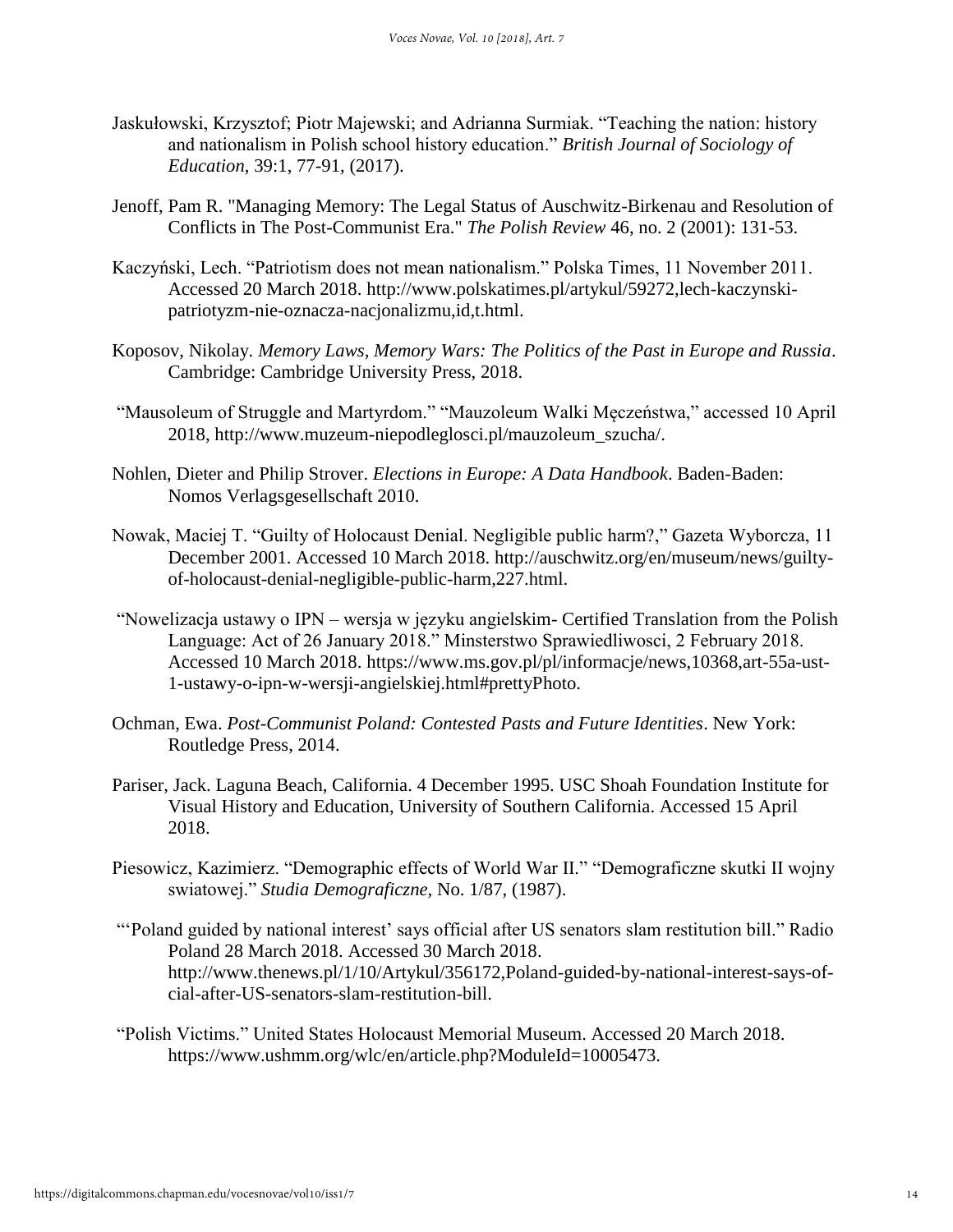- Jaskułowski, Krzysztof; Piotr Majewski; and Adrianna Surmiak. "Teaching the nation: history and nationalism in Polish school history education." *British Journal of Sociology of Education*, 39:1, 77-91, (2017).
- Jenoff, Pam R. "Managing Memory: The Legal Status of Auschwitz-Birkenau and Resolution of Conflicts in The Post-Communist Era." *The Polish Review* 46, no. 2 (2001): 131-53.
- Kaczyński, Lech. "Patriotism does not mean nationalism." Polska Times, 11 November 2011. Accessed 20 March 2018. http://www.polskatimes.pl/artykul/59272,lech-kaczynskipatriotyzm-nie-oznacza-nacjonalizmu,id,t.html.
- Koposov, Nikolay. *Memory Laws, Memory Wars: The Politics of the Past in Europe and Russia*. Cambridge: Cambridge University Press, 2018.
- "Mausoleum of Struggle and Martyrdom." "Mauzoleum Walki Męczeństwa," accessed 10 April 2018, http://www.muzeum-niepodleglosci.pl/mauzoleum\_szucha/.
- Nohlen, Dieter and Philip Strover. *Elections in Europe: A Data Handbook*. Baden-Baden: Nomos Verlagsgesellschaft 2010.
- Nowak, Maciej T. "Guilty of Holocaust Denial. Negligible public harm?," Gazeta Wyborcza, 11 December 2001. Accessed 10 March 2018. http://auschwitz.org/en/museum/news/guiltyof-holocaust-denial-negligible-public-harm,227.html.
- "Nowelizacja ustawy o IPN wersja w języku angielskim- Certified Translation from the Polish Language: Act of 26 January 2018." Minsterstwo Sprawiedliwosci, 2 February 2018. Accessed 10 March 2018. https://www.ms.gov.pl/pl/informacje/news,10368,art-55a-ust-1-ustawy-o-ipn-w-wersji-angielskiej.html#prettyPhoto.
- Ochman, Ewa. *Post-Communist Poland: Contested Pasts and Future Identities*. New York: Routledge Press, 2014.
- Pariser, Jack. Laguna Beach, California. 4 December 1995. USC Shoah Foundation Institute for Visual History and Education, University of Southern California. Accessed 15 April 2018.
- Piesowicz, Kazimierz. "Demographic effects of World War II." "Demograficzne skutki II wojny swiatowej." *Studia Demograficzne,* No. 1/87, (1987).
- "'Poland guided by national interest' says official after US senators slam restitution bill." Radio Poland 28 March 2018. Accessed 30 March 2018. http://www.thenews.pl/1/10/Artykul/356172,Poland-guided-by-national-interest-says-ofcial-after-US-senators-slam-restitution-bill.
- "Polish Victims." United States Holocaust Memorial Museum. Accessed 20 March 2018. https://www.ushmm.org/wlc/en/article.php?ModuleId=10005473.